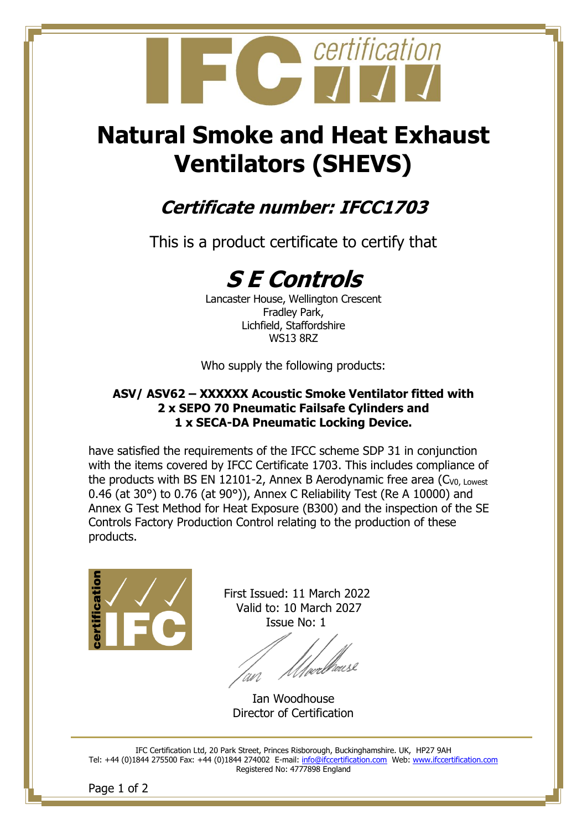

# **Natural Smoke and Heat Exhaust Ventilators (SHEVS)**

## **Certificate number: IFCC1703**

This is a product certificate to certify that

## **S E Controls**

Lancaster House, Wellington Crescent Fradley Park, Lichfield, Staffordshire WS13 8RZ

Who supply the following products:

#### **ASV/ ASV62 – XXXXXX Acoustic Smoke Ventilator fitted with 2 x SEPO 70 Pneumatic Failsafe Cylinders and 1 x SECA-DA Pneumatic Locking Device.**

have satisfied the requirements of the IFCC scheme SDP 31 in conjunction with the items covered by IFCC Certificate 1703. This includes compliance of the products with BS EN 12101-2, Annex B Aerodynamic free area  $(C_{V0. \text{Lower}})$ 0.46 (at 30°) to 0.76 (at 90°)), Annex C Reliability Test (Re A 10000) and Annex G Test Method for Heat Exposure (B300) and the inspection of the SE Controls Factory Production Control relating to the production of these products.



 First Issued: 11 March 2022 Valid to: 10 March 2027 Issue No: 1

*Uve*elbacse

Ian Woodhouse Director of Certification

IFC Certification Ltd, 20 Park Street, Princes Risborough, Buckinghamshire. UK, HP27 9AH Tel: +44 (0)1844 275500 Fax: +44 (0)1844 274002 E-mail: [info@ifccertification.com](mailto:info@ifccertification.com) Web: [www.ifccertification.com](http://www.ifccertification.com/) Registered No: 4777898 England

Page 1 of 2